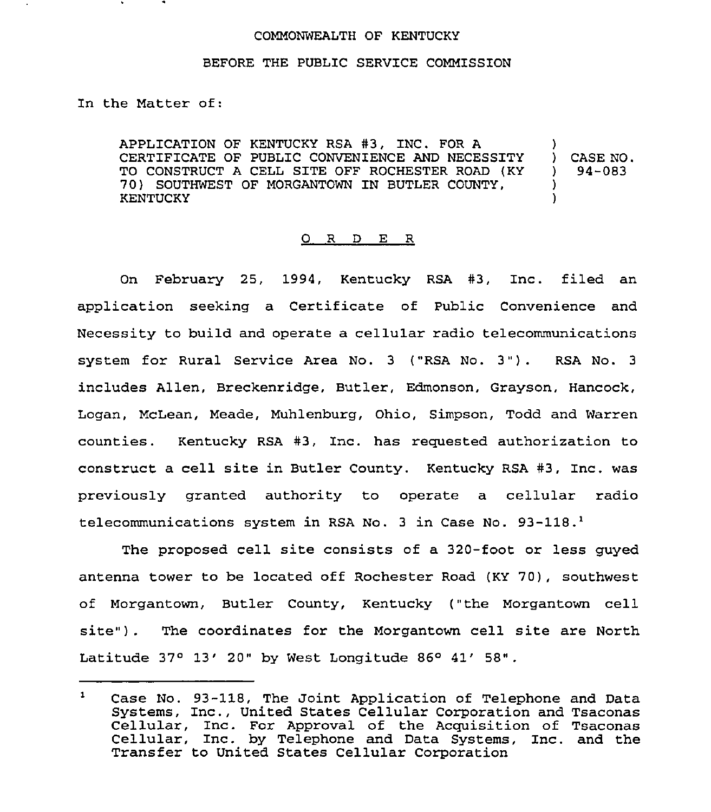## COMMONWEALTH OF KENTUCKY

## BEFORE THE PUBLIC SERVICE COMMISSION

In the Matter of:

APPLICATION OF KENTUCKY RSA #3, INC. FOR A CERTIFICATE OF PUBLIC CONVENIENCE AND NECESSITY TO CONSTRUCT A CELL SITE OFF ROCHESTER ROAD (KY 70) SOUTHWEST OF MORGANTOWN IN BUTLER COUNTY, KENTUCKY ) ) CASE NO. ) 94-083 ) )

## 0 R <sup>D</sup> E R

On February 25, 1994, Kentucky RSA #3, Inc. filed an application seeking a Certificate of Public Convenience and Necessity to build and operate a cellular radio telecommunications system for Rural Service Area No. <sup>3</sup> ("RSA No. 3"). RSA No. <sup>3</sup> includes Allen, Breckenridge, Butler, Edmonson, Grayson, Hancock, Logan, McLean, Meade, Muhlenburg, Ohio, Simpson, Todd and Warren counties. Kentucky RSA #3, Inc. has requested authorization to construct a cell site in Butler County. Kentucky RSA #3, Inc. was previously granted authority to operate a cellular radio telecommunications system in RSA No. 3 in Case No. 93-118.<sup>1</sup>

The proposed cell site consists of a 320-foot or less guyed antenna tower to be located off Rochester Road (KY 70), southwest of Morgantown, Butler County, Kentucky ("the Morgantown cell site") . The coordinates for the Morgantown cell site are North Latitude  $37^{\circ}$   $13'$   $20"$  by West Longitude  $86^{\circ}$   $41'$   $58"$ .

Case No. 93-118, The Joint Application of Telephone and Data<br>Systems, Inc., United States Cellular Corporation and Tsaconas<br>Cellular, Inc. For Approval of the Acquisition of Tsaconas  $\mathbf{1}$ Case No. 93-118, The Joint Application of Telephone and Data Systems, Inc., United States Cellular Corporation and Tsaconas Cellular, Inc. by Telephone and Data Systems, Inc. and the Transfer to United States Cellular Corporation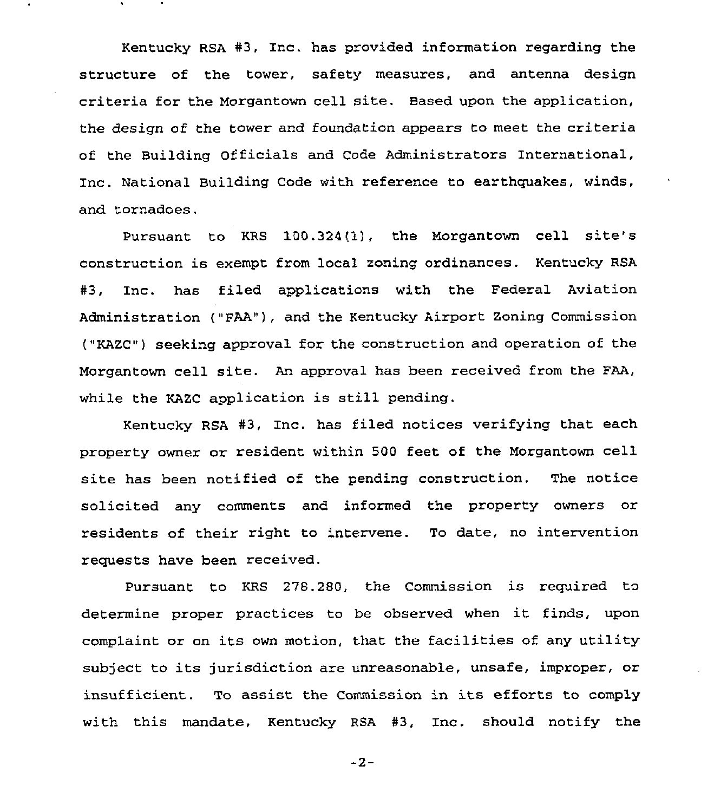Kentucky RSA #3, Inc. has provided information regarding the structure of the tower, safety measures, and antenna design criteria for the Morgantown cell site. Based upon the application, the design of the tower and foundation appears to meet the criteria of the Building Officials and Code Administrators International, Inc. National Building Code with reference to earthquakes, winds, and tornadoes.

Pursuant to KRS 100.324(1}, the Morgantown cell site's construction is exempt from local zoning ordinances. Kentucky RSA #3, Inc. has filed applications with the Federal Aviation Administration ("FAA"), and the Kentucky Airport Zoning Commission ("KAZC") seeking approval for the construction and operation of the Morgantown cell site. An approval has been received from the FAA, while the KAZC application is still pending.

Kentucky RSA #3, Inc. has filed notices verifying that each property owner or resident within 500 feet of the Morgantown cell site has been notified of the pending construction. The notice solicited any comments and informed the property owners or residents of their right to intervene. To date, no intervention requests have been received.

Pursuant to KRS 278.2SO, the Commission is required to determine proper practices to be observed when it finds, upon complaint or on its own motion, that the facilities of any utility subject to its jurisdiction are unreasonable, unsafe, improper, or insufficient. To assist the Commission in its efforts to comply with this mandate, Kentucky RSA #3, Inc. should notify the

 $-2-$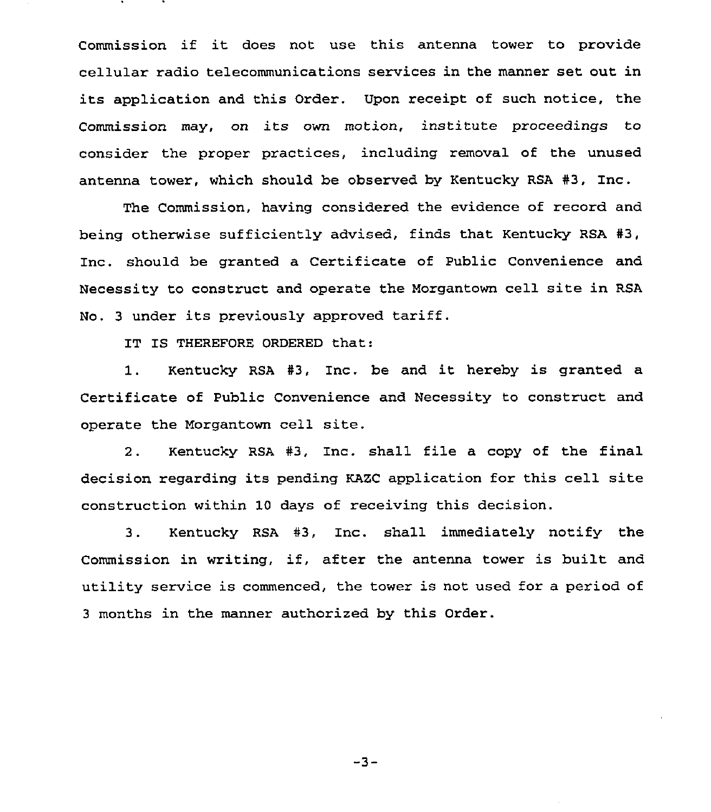Commission if it does not use this antenna tower to provide cellular radio telecommunications services in the manner set out in its application and this Order. Upon receipt of such notice, the Commission may, on its own motion, institute proceedings to consider the proper practices, including removal of the unused antenna tower, which should be observed by Kentucky RSA #3, Inc.

The Commission, having considered the evidence of record and being otherwise sufficiently advised, finds that Kentucky RSA #3, Inc. should be granted a Certificate of Public Convenience and Necessity to construct and operate the Nozgantown cell site in RSA No. <sup>3</sup> under its previously approved tariff.

IT IS THEREFORE ORDERED that:

1. Kentucky RSA #3, Inc. be and it hereby is granted a Certificate of Public Convenience and Necessity to construct and operate the Morgantown cell site.

2. Kentucky RSA #3, Inc. shall file a copy of the final decision regarding its pending KAZC application for this cell site construction within 10 days of receiving this decision.

3. Kentucky RSA #3, Inc. shall immediately notify the Commission in writing, if, after the antenna tower is built and utility service is commenced, the tower is not used for a period of 3 months in the manner authorized by this Order.

 $-3-$